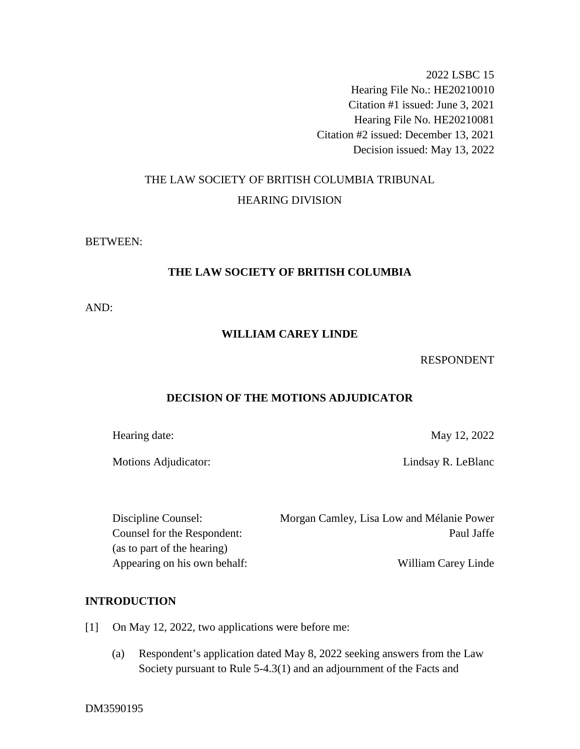2022 LSBC 15 Hearing File No.: HE20210010 Citation #1 issued: June 3, 2021 Hearing File No. HE20210081 Citation #2 issued: December 13, 2021 Decision issued: May 13, 2022

# THE LAW SOCIETY OF BRITISH COLUMBIA TRIBUNAL HEARING DIVISION

## BETWEEN:

# **THE LAW SOCIETY OF BRITISH COLUMBIA**

AND:

# **WILLIAM CAREY LINDE**

## RESPONDENT

# **DECISION OF THE MOTIONS ADJUDICATOR**

Hearing date: May 12, 2022

Motions Adjudicator: Lindsay R. LeBlanc

| Discipline Counsel:          | Morgan Camley, Lisa Low and Mélanie Power |
|------------------------------|-------------------------------------------|
| Counsel for the Respondent:  | Paul Jaffe                                |
| (as to part of the hearing)  |                                           |
| Appearing on his own behalf: | William Carey Linde                       |

# **INTRODUCTION**

- [1] On May 12, 2022, two applications were before me:
	- (a) Respondent's application dated May 8, 2022 seeking answers from the Law Society pursuant to Rule 5-4.3(1) and an adjournment of the Facts and

DM3590195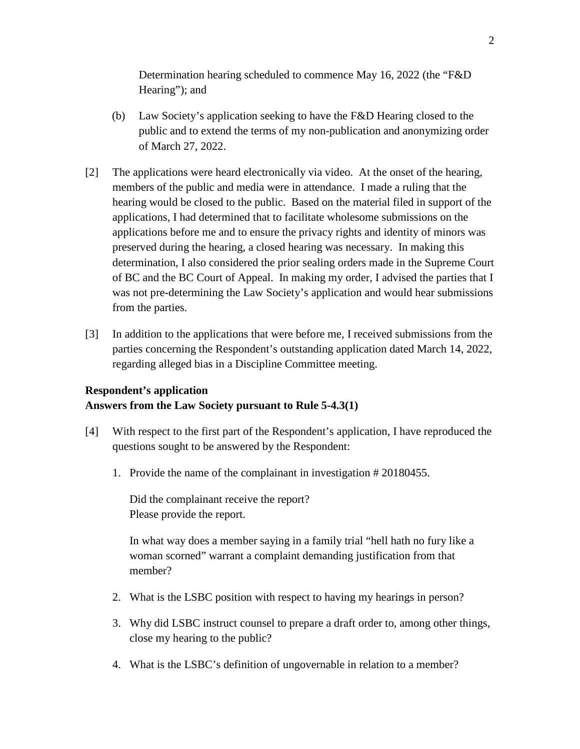Determination hearing scheduled to commence May 16, 2022 (the "F&D Hearing"); and

- (b) Law Society's application seeking to have the F&D Hearing closed to the public and to extend the terms of my non-publication and anonymizing order of March 27, 2022.
- [2] The applications were heard electronically via video. At the onset of the hearing, members of the public and media were in attendance. I made a ruling that the hearing would be closed to the public. Based on the material filed in support of the applications, I had determined that to facilitate wholesome submissions on the applications before me and to ensure the privacy rights and identity of minors was preserved during the hearing, a closed hearing was necessary. In making this determination, I also considered the prior sealing orders made in the Supreme Court of BC and the BC Court of Appeal. In making my order, I advised the parties that I was not pre-determining the Law Society's application and would hear submissions from the parties.
- [3] In addition to the applications that were before me, I received submissions from the parties concerning the Respondent's outstanding application dated March 14, 2022, regarding alleged bias in a Discipline Committee meeting.

# **Respondent's application Answers from the Law Society pursuant to Rule 5-4.3(1)**

- [4] With respect to the first part of the Respondent's application, I have reproduced the questions sought to be answered by the Respondent:
	- 1. Provide the name of the complainant in investigation # 20180455.

Did the complainant receive the report? Please provide the report.

In what way does a member saying in a family trial "hell hath no fury like a woman scorned" warrant a complaint demanding justification from that member?

- 2. What is the LSBC position with respect to having my hearings in person?
- 3. Why did LSBC instruct counsel to prepare a draft order to, among other things, close my hearing to the public?
- 4. What is the LSBC's definition of ungovernable in relation to a member?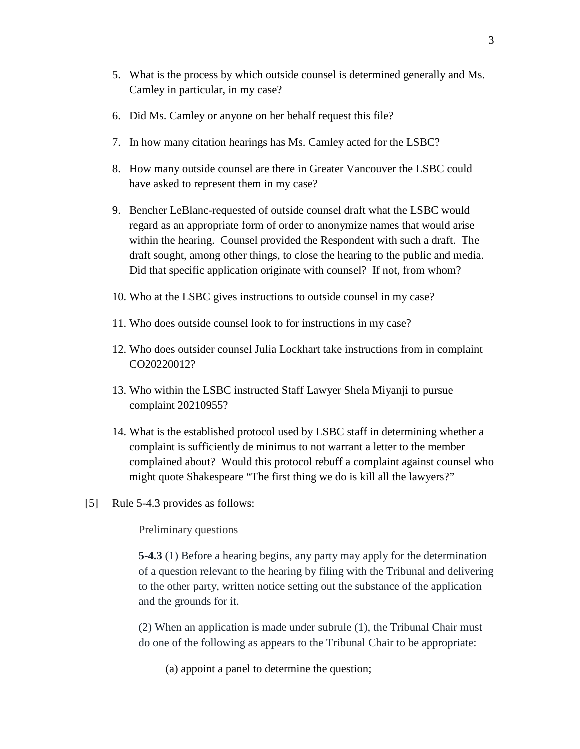- 5. What is the process by which outside counsel is determined generally and Ms. Camley in particular, in my case?
- 6. Did Ms. Camley or anyone on her behalf request this file?
- 7. In how many citation hearings has Ms. Camley acted for the LSBC?
- 8. How many outside counsel are there in Greater Vancouver the LSBC could have asked to represent them in my case?
- 9. Bencher LeBlanc-requested of outside counsel draft what the LSBC would regard as an appropriate form of order to anonymize names that would arise within the hearing. Counsel provided the Respondent with such a draft. The draft sought, among other things, to close the hearing to the public and media. Did that specific application originate with counsel? If not, from whom?
- 10. Who at the LSBC gives instructions to outside counsel in my case?
- 11. Who does outside counsel look to for instructions in my case?
- 12. Who does outsider counsel Julia Lockhart take instructions from in complaint CO20220012?
- 13. Who within the LSBC instructed Staff Lawyer Shela Miyanji to pursue complaint 20210955?
- 14. What is the established protocol used by LSBC staff in determining whether a complaint is sufficiently de minimus to not warrant a letter to the member complained about? Would this protocol rebuff a complaint against counsel who might quote Shakespeare "The first thing we do is kill all the lawyers?"
- [5] Rule 5-4.3 provides as follows:

Preliminary questions

**5-4.3** (1) Before a hearing begins, any party may apply for the determination of a question relevant to the hearing by filing with the Tribunal and delivering to the other party, written notice setting out the substance of the application and the grounds for it.

(2) When an application is made under subrule (1), the Tribunal Chair must do one of the following as appears to the Tribunal Chair to be appropriate:

(a) appoint a panel to determine the question;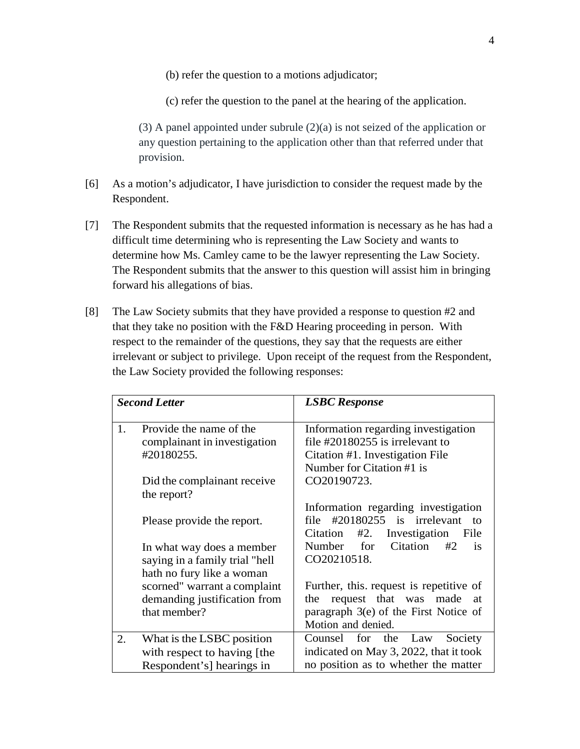- (b) refer the question to a motions adjudicator;
- (c) refer the question to the panel at the hearing of the application.

(3) A panel appointed under subrule (2)(a) is not seized of the application or any question pertaining to the application other than that referred under that provision.

- [6] As a motion's adjudicator, I have jurisdiction to consider the request made by the Respondent.
- [7] The Respondent submits that the requested information is necessary as he has had a difficult time determining who is representing the Law Society and wants to determine how Ms. Camley came to be the lawyer representing the Law Society. The Respondent submits that the answer to this question will assist him in bringing forward his allegations of bias.
- [8] The Law Society submits that they have provided a response to question #2 and that they take no position with the F&D Hearing proceeding in person. With respect to the remainder of the questions, they say that the requests are either irrelevant or subject to privilege. Upon receipt of the request from the Respondent, the Law Society provided the following responses:

|    | <b>Second Letter</b>           | <b>LSBC</b> Response                      |
|----|--------------------------------|-------------------------------------------|
| 1. | Provide the name of the        | Information regarding investigation       |
|    | complainant in investigation   | file $\#20180255$ is irrelevant to        |
|    | #20180255.                     | Citation #1. Investigation File           |
|    |                                | Number for Citation #1 is                 |
|    | Did the complainant receive    | CO20190723.                               |
|    | the report?                    |                                           |
|    |                                | Information regarding investigation       |
|    | Please provide the report.     | file $\text{\#20180255}$ is irrelevant to |
|    |                                | #2. Investigation<br>Citation<br>File     |
|    | In what way does a member      | Citation<br>Number for<br>#2<br>is        |
|    | saying in a family trial "hell | CO20210518.                               |
|    | hath no fury like a woman      |                                           |
|    | scorned" warrant a complaint   | Further, this. request is repetitive of   |
|    | demanding justification from   | request that was made<br>the<br>at        |
|    | that member?                   | paragraph $3(e)$ of the First Notice of   |
|    |                                | Motion and denied.                        |
| 2. | What is the LSBC position      | Counsel for the Law<br>Society            |
|    | with respect to having [the    | indicated on May 3, 2022, that it took    |
|    | Respondent's hearings in       | no position as to whether the matter      |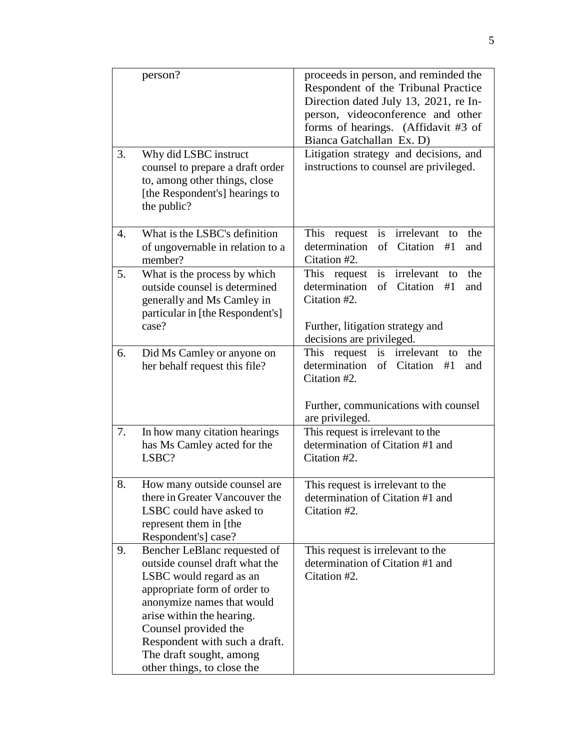|    | person?                                                                                                                                                                                                                                                                                                | proceeds in person, and reminded the<br>Respondent of the Tribunal Practice<br>Direction dated July 13, 2021, re In-<br>person, videoconference and other<br>forms of hearings. (Affidavit #3 of<br>Bianca Gatchallan Ex. D) |
|----|--------------------------------------------------------------------------------------------------------------------------------------------------------------------------------------------------------------------------------------------------------------------------------------------------------|------------------------------------------------------------------------------------------------------------------------------------------------------------------------------------------------------------------------------|
| 3. | Why did LSBC instruct<br>counsel to prepare a draft order<br>to, among other things, close<br>[the Respondent's] hearings to<br>the public?                                                                                                                                                            | Litigation strategy and decisions, and<br>instructions to counsel are privileged.                                                                                                                                            |
| 4. | What is the LSBC's definition<br>of ungovernable in relation to a<br>member?                                                                                                                                                                                                                           | This<br>request<br>irrelevant<br>the<br>is<br>to<br>determination<br>of Citation<br>#1<br>and<br>Citation #2.                                                                                                                |
| 5. | What is the process by which<br>outside counsel is determined<br>generally and Ms Camley in<br>particular in [the Respondent's]<br>case?                                                                                                                                                               | irrelevant<br>This<br>is<br>the<br>request<br>to<br>determination<br>of Citation<br>#1<br>and<br>Citation #2.<br>Further, litigation strategy and<br>decisions are privileged.                                               |
| 6. | Did Ms Camley or anyone on<br>her behalf request this file?                                                                                                                                                                                                                                            | request<br>This<br>is<br>irrelevant<br>the<br>to<br>determination<br>of Citation<br>#1<br>and<br>Citation #2.<br>Further, communications with counsel<br>are privileged.                                                     |
| 7. | In how many citation hearings<br>has Ms Camley acted for the<br>LSBC?                                                                                                                                                                                                                                  | This request is irrelevant to the<br>determination of Citation #1 and<br>Citation #2.                                                                                                                                        |
| 8. | How many outside counsel are<br>there in Greater Vancouver the<br>LSBC could have asked to<br>represent them in [the<br>Respondent's] case?                                                                                                                                                            | This request is irrelevant to the<br>determination of Citation #1 and<br>Citation #2.                                                                                                                                        |
| 9. | Bencher LeBlanc requested of<br>outside counsel draft what the<br>LSBC would regard as an<br>appropriate form of order to<br>anonymize names that would<br>arise within the hearing.<br>Counsel provided the<br>Respondent with such a draft.<br>The draft sought, among<br>other things, to close the | This request is irrelevant to the<br>determination of Citation #1 and<br>Citation #2.                                                                                                                                        |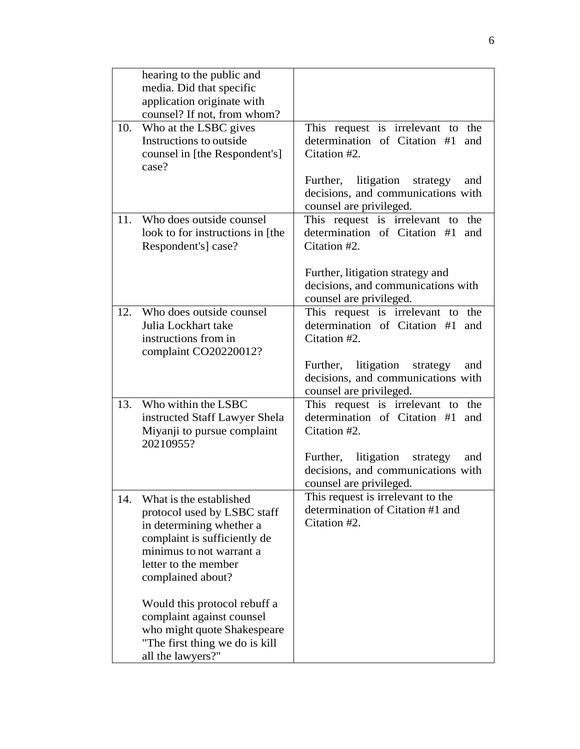|     | hearing to the public and        |                                        |
|-----|----------------------------------|----------------------------------------|
|     | media. Did that specific         |                                        |
|     | application originate with       |                                        |
|     | counsel? If not, from whom?      |                                        |
| 10. | Who at the LSBC gives            | This request is irrelevant to the      |
|     | Instructions to outside          | determination of Citation #1<br>and    |
|     | counsel in [the Respondent's]    | Citation #2.                           |
|     | case?                            |                                        |
|     |                                  | litigation strategy<br>Further,<br>and |
|     |                                  | decisions, and communications with     |
|     |                                  | counsel are privileged.                |
| 11. | Who does outside counsel         | This request is irrelevant to the      |
|     | look to for instructions in [the | determination of Citation #1<br>and    |
|     | Respondent's] case?              | Citation #2.                           |
|     |                                  |                                        |
|     |                                  | Further, litigation strategy and       |
|     |                                  | decisions, and communications with     |
|     |                                  | counsel are privileged.                |
| 12. | Who does outside counsel         | This request is irrelevant to the      |
|     | Julia Lockhart take              | determination of Citation #1<br>and    |
|     | instructions from in             | Citation #2.                           |
|     | complaint CO20220012?            |                                        |
|     |                                  | Further, litigation<br>strategy<br>and |
|     |                                  | decisions, and communications with     |
|     |                                  | counsel are privileged.                |
| 13. | Who within the LSBC              | This request is irrelevant to<br>the   |
|     | instructed Staff Lawyer Shela    | determination of Citation #1<br>and    |
|     | Miyanji to pursue complaint      | Citation #2.                           |
|     | 20210955?                        |                                        |
|     |                                  | Further, litigation strategy<br>and    |
|     |                                  | decisions, and communications with     |
|     |                                  | counsel are privileged.                |
| 14. | What is the established          | This request is irrelevant to the      |
|     | protocol used by LSBC staff      | determination of Citation #1 and       |
|     | in determining whether a         | Citation #2.                           |
|     | complaint is sufficiently de     |                                        |
|     | minimus to not warrant a         |                                        |
|     | letter to the member             |                                        |
|     | complained about?                |                                        |
|     |                                  |                                        |
|     | Would this protocol rebuff a     |                                        |
|     | complaint against counsel        |                                        |
|     | who might quote Shakespeare      |                                        |
|     | "The first thing we do is kill   |                                        |
|     | all the lawyers?"                |                                        |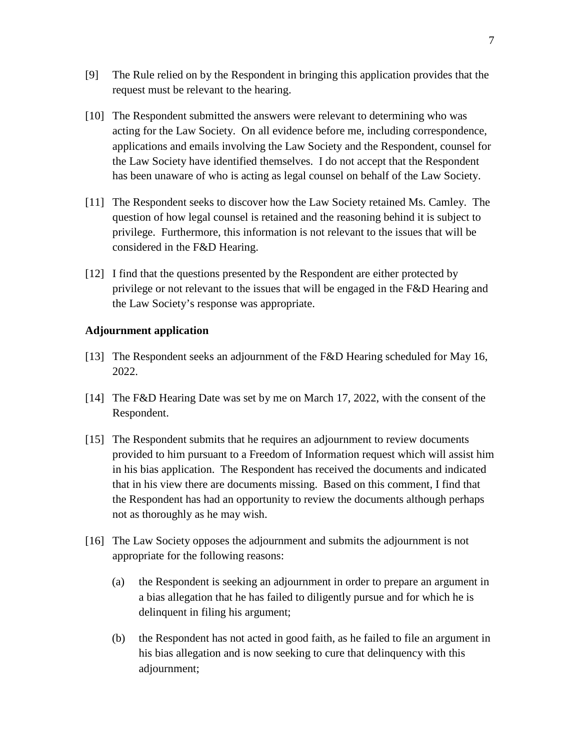- [9] The Rule relied on by the Respondent in bringing this application provides that the request must be relevant to the hearing.
- [10] The Respondent submitted the answers were relevant to determining who was acting for the Law Society. On all evidence before me, including correspondence, applications and emails involving the Law Society and the Respondent, counsel for the Law Society have identified themselves. I do not accept that the Respondent has been unaware of who is acting as legal counsel on behalf of the Law Society.
- [11] The Respondent seeks to discover how the Law Society retained Ms. Camley. The question of how legal counsel is retained and the reasoning behind it is subject to privilege. Furthermore, this information is not relevant to the issues that will be considered in the F&D Hearing.
- [12] I find that the questions presented by the Respondent are either protected by privilege or not relevant to the issues that will be engaged in the F&D Hearing and the Law Society's response was appropriate.

## **Adjournment application**

- [13] The Respondent seeks an adjournment of the F&D Hearing scheduled for May 16, 2022.
- [14] The F&D Hearing Date was set by me on March 17, 2022, with the consent of the Respondent.
- [15] The Respondent submits that he requires an adjournment to review documents provided to him pursuant to a Freedom of Information request which will assist him in his bias application. The Respondent has received the documents and indicated that in his view there are documents missing. Based on this comment, I find that the Respondent has had an opportunity to review the documents although perhaps not as thoroughly as he may wish.
- [16] The Law Society opposes the adjournment and submits the adjournment is not appropriate for the following reasons:
	- (a) the Respondent is seeking an adjournment in order to prepare an argument in a bias allegation that he has failed to diligently pursue and for which he is delinquent in filing his argument;
	- (b) the Respondent has not acted in good faith, as he failed to file an argument in his bias allegation and is now seeking to cure that delinquency with this adjournment;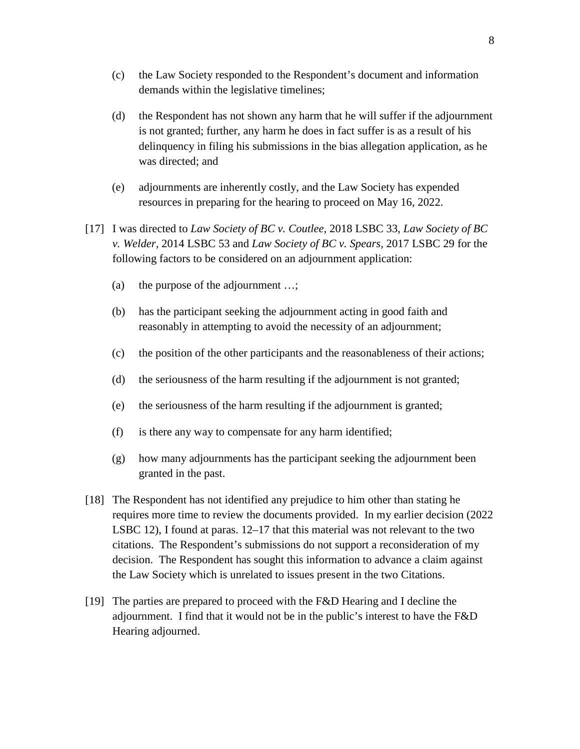- (c) the Law Society responded to the Respondent's document and information demands within the legislative timelines;
- (d) the Respondent has not shown any harm that he will suffer if the adjournment is not granted; further, any harm he does in fact suffer is as a result of his delinquency in filing his submissions in the bias allegation application, as he was directed; and
- (e) adjournments are inherently costly, and the Law Society has expended resources in preparing for the hearing to proceed on May 16, 2022.
- [17] I was directed to *Law Society of BC v. Coutlee,* 2018 LSBC 33, *Law Society of BC v. Welder,* 2014 LSBC 53 and *Law Society of BC v. Spears,* 2017 LSBC 29 for the following factors to be considered on an adjournment application:
	- (a) the purpose of the adjournment …;
	- (b) has the participant seeking the adjournment acting in good faith and reasonably in attempting to avoid the necessity of an adjournment;
	- (c) the position of the other participants and the reasonableness of their actions;
	- (d) the seriousness of the harm resulting if the adjournment is not granted;
	- (e) the seriousness of the harm resulting if the adjournment is granted;
	- (f) is there any way to compensate for any harm identified;
	- (g) how many adjournments has the participant seeking the adjournment been granted in the past.
- [18] The Respondent has not identified any prejudice to him other than stating he requires more time to review the documents provided. In my earlier decision (2022 LSBC 12), I found at paras. 12–17 that this material was not relevant to the two citations. The Respondent's submissions do not support a reconsideration of my decision. The Respondent has sought this information to advance a claim against the Law Society which is unrelated to issues present in the two Citations.
- [19] The parties are prepared to proceed with the F&D Hearing and I decline the adjournment. I find that it would not be in the public's interest to have the F&D Hearing adjourned.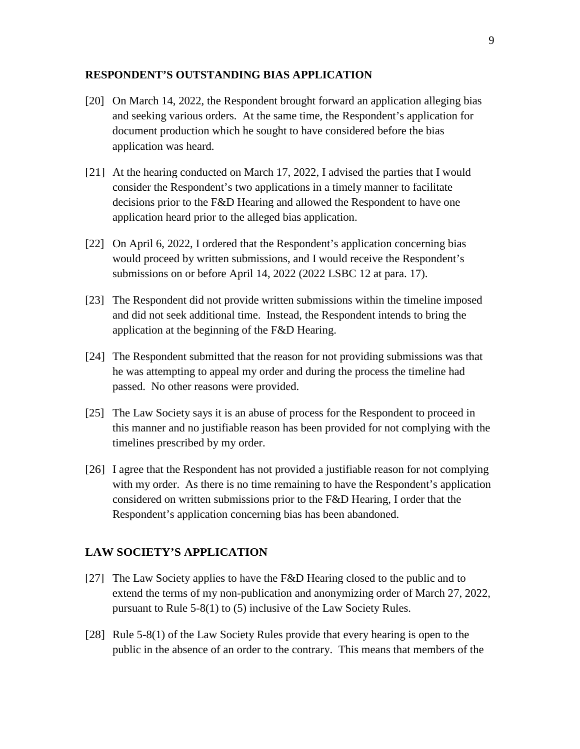#### **RESPONDENT'S OUTSTANDING BIAS APPLICATION**

- [20] On March 14, 2022, the Respondent brought forward an application alleging bias and seeking various orders. At the same time, the Respondent's application for document production which he sought to have considered before the bias application was heard.
- [21] At the hearing conducted on March 17, 2022, I advised the parties that I would consider the Respondent's two applications in a timely manner to facilitate decisions prior to the F&D Hearing and allowed the Respondent to have one application heard prior to the alleged bias application.
- [22] On April 6, 2022, I ordered that the Respondent's application concerning bias would proceed by written submissions, and I would receive the Respondent's submissions on or before April 14, 2022 (2022 LSBC 12 at para. 17).
- [23] The Respondent did not provide written submissions within the timeline imposed and did not seek additional time. Instead, the Respondent intends to bring the application at the beginning of the F&D Hearing.
- [24] The Respondent submitted that the reason for not providing submissions was that he was attempting to appeal my order and during the process the timeline had passed. No other reasons were provided.
- [25] The Law Society says it is an abuse of process for the Respondent to proceed in this manner and no justifiable reason has been provided for not complying with the timelines prescribed by my order.
- [26] I agree that the Respondent has not provided a justifiable reason for not complying with my order. As there is no time remaining to have the Respondent's application considered on written submissions prior to the F&D Hearing, I order that the Respondent's application concerning bias has been abandoned.

## **LAW SOCIETY'S APPLICATION**

- [27] The Law Society applies to have the F&D Hearing closed to the public and to extend the terms of my non-publication and anonymizing order of March 27, 2022, pursuant to Rule 5-8(1) to (5) inclusive of the Law Society Rules.
- [28] Rule 5-8(1) of the Law Society Rules provide that every hearing is open to the public in the absence of an order to the contrary. This means that members of the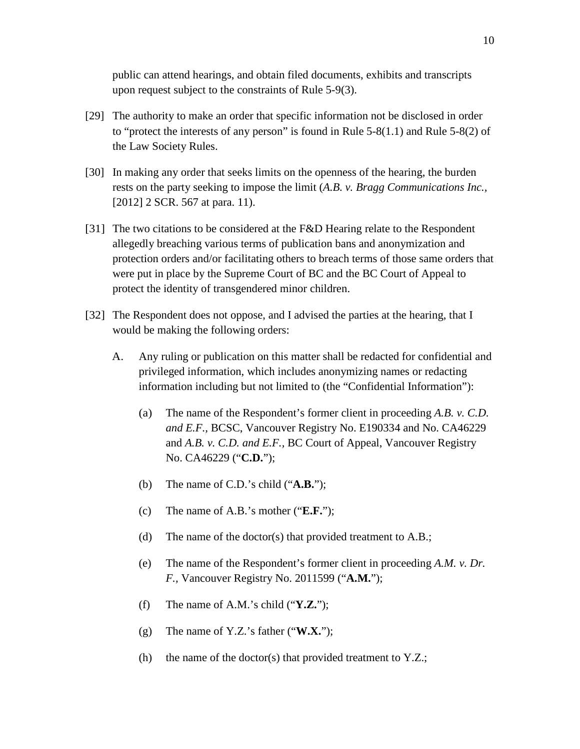public can attend hearings, and obtain filed documents, exhibits and transcripts upon request subject to the constraints of Rule 5-9(3).

- [29] The authority to make an order that specific information not be disclosed in order to "protect the interests of any person" is found in Rule 5-8(1.1) and Rule 5-8(2) of the Law Society Rules.
- [30] In making any order that seeks limits on the openness of the hearing, the burden rests on the party seeking to impose the limit (*A.B. v. Bragg Communications Inc.,*  [2012] 2 SCR. 567 at para. 11).
- [31] The two citations to be considered at the F&D Hearing relate to the Respondent allegedly breaching various terms of publication bans and anonymization and protection orders and/or facilitating others to breach terms of those same orders that were put in place by the Supreme Court of BC and the BC Court of Appeal to protect the identity of transgendered minor children.
- [32] The Respondent does not oppose, and I advised the parties at the hearing, that I would be making the following orders:
	- A. Any ruling or publication on this matter shall be redacted for confidential and privileged information, which includes anonymizing names or redacting information including but not limited to (the "Confidential Information"):
		- (a) The name of the Respondent's former client in proceeding *A.B. v. C.D. and E.F.,* BCSC, Vancouver Registry No. E190334 and No. CA46229 and *A.B. v. C.D. and E.F.,* BC Court of Appeal, Vancouver Registry No. CA46229 ("**C.D.**");
		- (b) The name of C.D.'s child ("**A.B.**");
		- (c) The name of A.B.'s mother ("**E.F.**");
		- (d) The name of the doctor(s) that provided treatment to A.B.;
		- (e) The name of the Respondent's former client in proceeding *A.M. v. Dr. F.,* Vancouver Registry No. 2011599 ("**A.M.**");
		- (f) The name of A.M.'s child ("**Y.Z.**");
		- (g) The name of Y.Z.'s father ("**W.X.**");
		- (h) the name of the doctor(s) that provided treatment to  $Y.Z.;$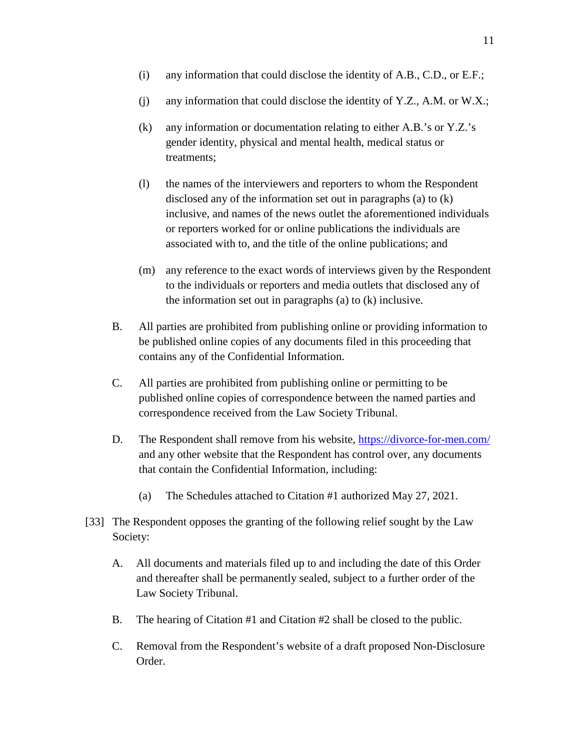- (i) any information that could disclose the identity of A.B., C.D., or E.F.;
- (j) any information that could disclose the identity of Y.Z., A.M. or W.X.;
- (k) any information or documentation relating to either A.B.'s or Y.Z.'s gender identity, physical and mental health, medical status or treatments;
- (l) the names of the interviewers and reporters to whom the Respondent disclosed any of the information set out in paragraphs (a) to (k) inclusive, and names of the news outlet the aforementioned individuals or reporters worked for or online publications the individuals are associated with to, and the title of the online publications; and
- (m) any reference to the exact words of interviews given by the Respondent to the individuals or reporters and media outlets that disclosed any of the information set out in paragraphs (a) to (k) inclusive.
- B. All parties are prohibited from publishing online or providing information to be published online copies of any documents filed in this proceeding that contains any of the Confidential Information.
- C. All parties are prohibited from publishing online or permitting to be published online copies of correspondence between the named parties and correspondence received from the Law Society Tribunal.
- D. The Respondent shall remove from his website, https://divorce-for-men.com/ and any other website that the Respondent has control over, any documents that contain the Confidential Information, including:
	- (a) The Schedules attached to Citation #1 authorized May 27, 2021.
- [33] The Respondent opposes the granting of the following relief sought by the Law Society:
	- A. All documents and materials filed up to and including the date of this Order and thereafter shall be permanently sealed, subject to a further order of the Law Society Tribunal.
	- B. The hearing of Citation #1 and Citation #2 shall be closed to the public.
	- C. Removal from the Respondent's website of a draft proposed Non-Disclosure Order.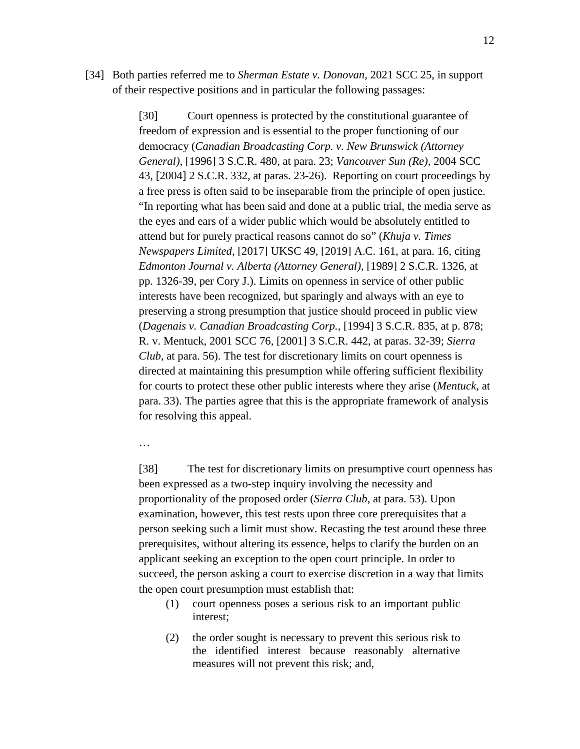[34] Both parties referred me to *Sherman Estate v. Donovan,* 2021 SCC 25, in support of their respective positions and in particular the following passages:

> [30] Court openness is protected by the constitutional guarantee of freedom of expression and is essential to the proper functioning of our democracy (*Canadian Broadcasting Corp. v. New Brunswick (Attorney General)*, [1996] 3 S.C.R. 480, at para. 23; *Vancouver Sun (Re)*, 2004 SCC 43, [2004] 2 S.C.R. 332, at paras. 23-26). Reporting on court proceedings by a free press is often said to be inseparable from the principle of open justice. "In reporting what has been said and done at a public trial, the media serve as the eyes and ears of a wider public which would be absolutely entitled to attend but for purely practical reasons cannot do so" (*Khuja v. Times Newspapers Limited*, [2017] UKSC 49, [2019] A.C. 161, at para. 16, citing *Edmonton Journal v. Alberta (Attorney General)*, [1989] 2 S.C.R. 1326, at pp. 1326-39, per Cory J.). Limits on openness in service of other public interests have been recognized, but sparingly and always with an eye to preserving a strong presumption that justice should proceed in public view (*Dagenais v. Canadian Broadcasting Corp.,* [1994] 3 S.C.R. 835, at p. 878; R. v. Mentuck, 2001 SCC 76, [2001] 3 S.C.R. 442, at paras. 32-39; *Sierra Club*, at para. 56). The test for discretionary limits on court openness is directed at maintaining this presumption while offering sufficient flexibility for courts to protect these other public interests where they arise (*Mentuck*, at para. 33). The parties agree that this is the appropriate framework of analysis for resolving this appeal.

…

[38] The test for discretionary limits on presumptive court openness has been expressed as a two-step inquiry involving the necessity and proportionality of the proposed order (*Sierra Club*, at para. 53). Upon examination, however, this test rests upon three core prerequisites that a person seeking such a limit must show. Recasting the test around these three prerequisites, without altering its essence, helps to clarify the burden on an applicant seeking an exception to the open court principle. In order to succeed, the person asking a court to exercise discretion in a way that limits the open court presumption must establish that:

- (1) court openness poses a serious risk to an important public interest;
- (2) the order sought is necessary to prevent this serious risk to the identified interest because reasonably alternative measures will not prevent this risk; and,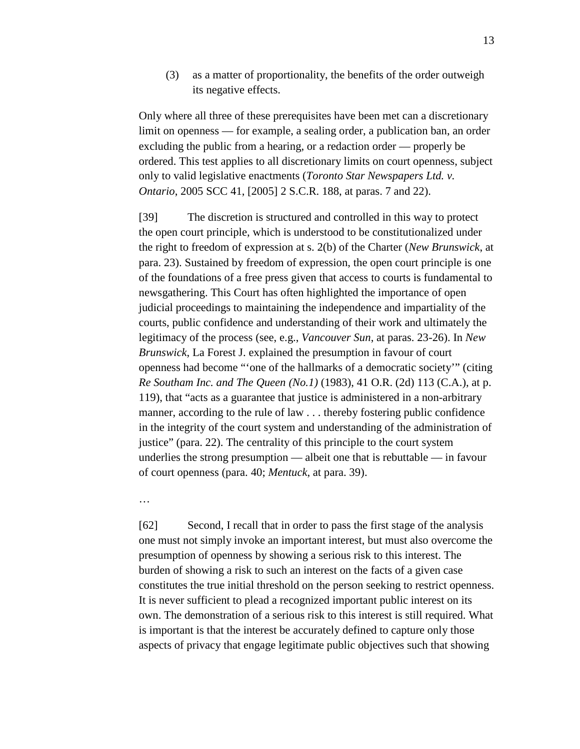(3) as a matter of proportionality, the benefits of the order outweigh its negative effects.

Only where all three of these prerequisites have been met can a discretionary limit on openness — for example, a sealing order, a publication ban, an order excluding the public from a hearing, or a redaction order — properly be ordered. This test applies to all discretionary limits on court openness, subject only to valid legislative enactments (*Toronto Star Newspapers Ltd. v. Ontario*, 2005 SCC 41, [2005] 2 S.C.R. 188, at paras. 7 and 22).

[39] The discretion is structured and controlled in this way to protect the open court principle, which is understood to be constitutionalized under the right to freedom of expression at s. 2(b) of the Charter (*New Brunswick*, at para. 23). Sustained by freedom of expression, the open court principle is one of the foundations of a free press given that access to courts is fundamental to newsgathering. This Court has often highlighted the importance of open judicial proceedings to maintaining the independence and impartiality of the courts, public confidence and understanding of their work and ultimately the legitimacy of the process (see, e.g., *Vancouver Sun*, at paras. 23-26). In *New Brunswick*, La Forest J. explained the presumption in favour of court openness had become "'one of the hallmarks of a democratic society'" (citing *Re Southam Inc. and The Queen (No.1)* (1983), 41 O.R. (2d) 113 (C.A.), at p. 119), that "acts as a guarantee that justice is administered in a non-arbitrary manner, according to the rule of law . . . thereby fostering public confidence in the integrity of the court system and understanding of the administration of justice" (para. 22). The centrality of this principle to the court system underlies the strong presumption — albeit one that is rebuttable — in favour of court openness (para. 40; *Mentuck*, at para. 39).

…

[62] Second, I recall that in order to pass the first stage of the analysis one must not simply invoke an important interest, but must also overcome the presumption of openness by showing a serious risk to this interest. The burden of showing a risk to such an interest on the facts of a given case constitutes the true initial threshold on the person seeking to restrict openness. It is never sufficient to plead a recognized important public interest on its own. The demonstration of a serious risk to this interest is still required. What is important is that the interest be accurately defined to capture only those aspects of privacy that engage legitimate public objectives such that showing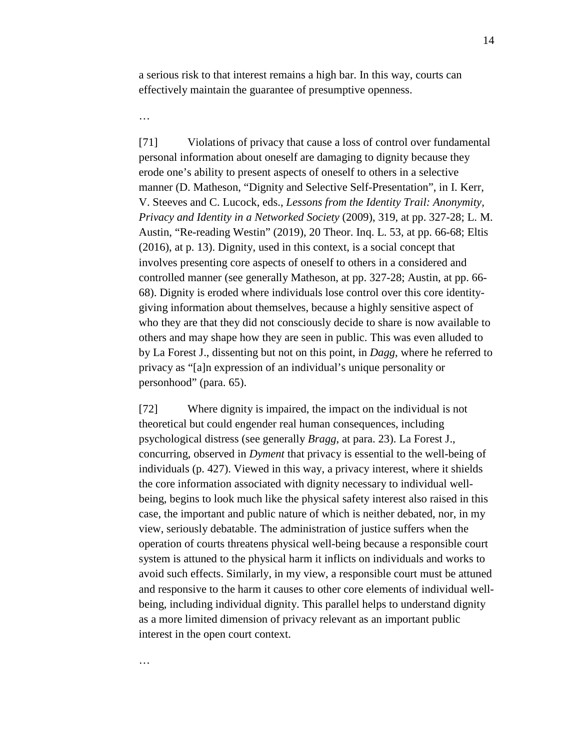a serious risk to that interest remains a high bar. In this way, courts can effectively maintain the guarantee of presumptive openness.

…

…

[71] Violations of privacy that cause a loss of control over fundamental personal information about oneself are damaging to dignity because they erode one's ability to present aspects of oneself to others in a selective manner (D. Matheson, "Dignity and Selective Self-Presentation", in I. Kerr, V. Steeves and C. Lucock, eds., *Lessons from the Identity Trail: Anonymity, Privacy and Identity in a Networked Society* (2009), 319, at pp. 327-28; L. M. Austin, "Re-reading Westin" (2019), 20 Theor. Inq. L. 53, at pp. 66-68; Eltis (2016), at p. 13). Dignity, used in this context, is a social concept that involves presenting core aspects of oneself to others in a considered and controlled manner (see generally Matheson, at pp. 327-28; Austin, at pp. 66- 68). Dignity is eroded where individuals lose control over this core identitygiving information about themselves, because a highly sensitive aspect of who they are that they did not consciously decide to share is now available to others and may shape how they are seen in public. This was even alluded to by La Forest J., dissenting but not on this point, in *Dagg*, where he referred to privacy as "[a]n expression of an individual's unique personality or personhood" (para. 65).

[72] Where dignity is impaired, the impact on the individual is not theoretical but could engender real human consequences, including psychological distress (see generally *Bragg*, at para. 23). La Forest J., concurring, observed in *Dyment* that privacy is essential to the well-being of individuals (p. 427). Viewed in this way, a privacy interest, where it shields the core information associated with dignity necessary to individual wellbeing, begins to look much like the physical safety interest also raised in this case, the important and public nature of which is neither debated, nor, in my view, seriously debatable. The administration of justice suffers when the operation of courts threatens physical well-being because a responsible court system is attuned to the physical harm it inflicts on individuals and works to avoid such effects. Similarly, in my view, a responsible court must be attuned and responsive to the harm it causes to other core elements of individual wellbeing, including individual dignity. This parallel helps to understand dignity as a more limited dimension of privacy relevant as an important public interest in the open court context.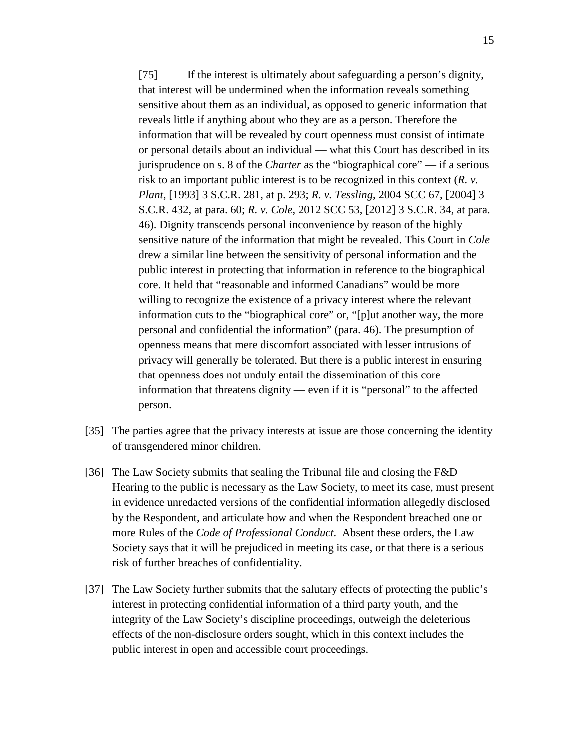[75] If the interest is ultimately about safeguarding a person's dignity, that interest will be undermined when the information reveals something sensitive about them as an individual, as opposed to generic information that reveals little if anything about who they are as a person. Therefore the information that will be revealed by court openness must consist of intimate or personal details about an individual — what this Court has described in its jurisprudence on s. 8 of the *Charter* as the "biographical core" — if a serious risk to an important public interest is to be recognized in this context (*R. v. Plant*, [1993] 3 S.C.R. 281, at p. 293; *R. v. Tessling*, 2004 SCC 67, [2004] 3 S.C.R. 432, at para. 60; *R. v. Cole*, 2012 SCC 53, [2012] 3 S.C.R. 34, at para. 46). Dignity transcends personal inconvenience by reason of the highly sensitive nature of the information that might be revealed. This Court in *Cole* drew a similar line between the sensitivity of personal information and the public interest in protecting that information in reference to the biographical core. It held that "reasonable and informed Canadians" would be more willing to recognize the existence of a privacy interest where the relevant information cuts to the "biographical core" or, "[p]ut another way, the more personal and confidential the information" (para. 46). The presumption of openness means that mere discomfort associated with lesser intrusions of privacy will generally be tolerated. But there is a public interest in ensuring that openness does not unduly entail the dissemination of this core information that threatens dignity — even if it is "personal" to the affected person.

- [35] The parties agree that the privacy interests at issue are those concerning the identity of transgendered minor children.
- [36] The Law Society submits that sealing the Tribunal file and closing the F&D Hearing to the public is necessary as the Law Society, to meet its case, must present in evidence unredacted versions of the confidential information allegedly disclosed by the Respondent, and articulate how and when the Respondent breached one or more Rules of the *Code of Professional Conduct*. Absent these orders, the Law Society says that it will be prejudiced in meeting its case, or that there is a serious risk of further breaches of confidentiality.
- [37] The Law Society further submits that the salutary effects of protecting the public's interest in protecting confidential information of a third party youth, and the integrity of the Law Society's discipline proceedings, outweigh the deleterious effects of the non-disclosure orders sought, which in this context includes the public interest in open and accessible court proceedings.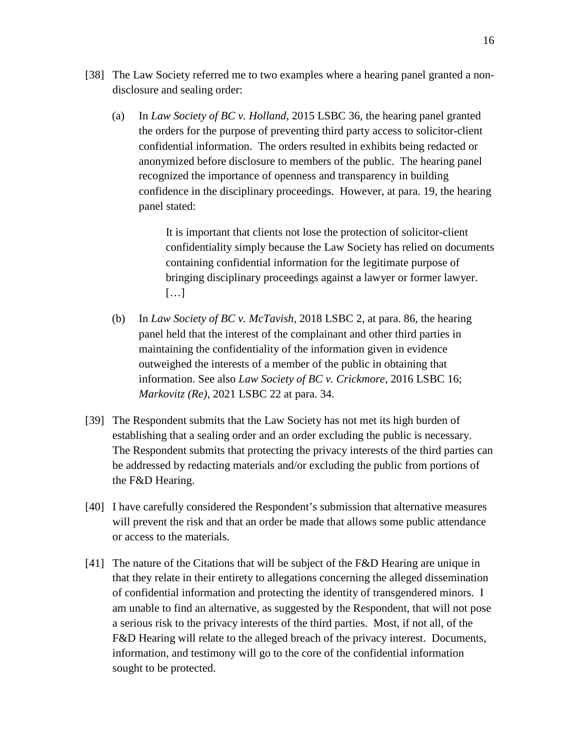- [38] The Law Society referred me to two examples where a hearing panel granted a nondisclosure and sealing order:
	- (a) In *Law Society of BC v. Holland*, 2015 LSBC 36, the hearing panel granted the orders for the purpose of preventing third party access to solicitor-client confidential information. The orders resulted in exhibits being redacted or anonymized before disclosure to members of the public. The hearing panel recognized the importance of openness and transparency in building confidence in the disciplinary proceedings. However, at para. 19, the hearing panel stated:

It is important that clients not lose the protection of solicitor-client confidentiality simply because the Law Society has relied on documents containing confidential information for the legitimate purpose of bringing disciplinary proceedings against a lawyer or former lawyer. […]

- (b) In *Law Society of BC v. McTavish,* 2018 LSBC 2, at para. 86, the hearing panel held that the interest of the complainant and other third parties in maintaining the confidentiality of the information given in evidence outweighed the interests of a member of the public in obtaining that information. See also *Law Society of BC v. Crickmore*, 2016 LSBC 16; *Markovitz (Re)*, 2021 LSBC 22 at para. 34.
- [39] The Respondent submits that the Law Society has not met its high burden of establishing that a sealing order and an order excluding the public is necessary. The Respondent submits that protecting the privacy interests of the third parties can be addressed by redacting materials and/or excluding the public from portions of the F&D Hearing.
- [40] I have carefully considered the Respondent's submission that alternative measures will prevent the risk and that an order be made that allows some public attendance or access to the materials.
- [41] The nature of the Citations that will be subject of the F&D Hearing are unique in that they relate in their entirety to allegations concerning the alleged dissemination of confidential information and protecting the identity of transgendered minors. I am unable to find an alternative, as suggested by the Respondent, that will not pose a serious risk to the privacy interests of the third parties. Most, if not all, of the F&D Hearing will relate to the alleged breach of the privacy interest. Documents, information, and testimony will go to the core of the confidential information sought to be protected.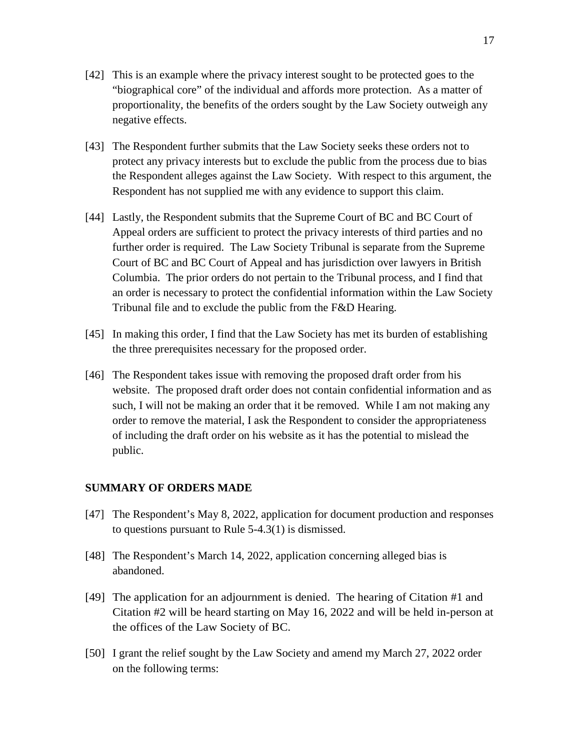- [42] This is an example where the privacy interest sought to be protected goes to the "biographical core" of the individual and affords more protection. As a matter of proportionality, the benefits of the orders sought by the Law Society outweigh any negative effects.
- [43] The Respondent further submits that the Law Society seeks these orders not to protect any privacy interests but to exclude the public from the process due to bias the Respondent alleges against the Law Society. With respect to this argument, the Respondent has not supplied me with any evidence to support this claim.
- [44] Lastly, the Respondent submits that the Supreme Court of BC and BC Court of Appeal orders are sufficient to protect the privacy interests of third parties and no further order is required. The Law Society Tribunal is separate from the Supreme Court of BC and BC Court of Appeal and has jurisdiction over lawyers in British Columbia. The prior orders do not pertain to the Tribunal process, and I find that an order is necessary to protect the confidential information within the Law Society Tribunal file and to exclude the public from the F&D Hearing.
- [45] In making this order, I find that the Law Society has met its burden of establishing the three prerequisites necessary for the proposed order.
- [46] The Respondent takes issue with removing the proposed draft order from his website. The proposed draft order does not contain confidential information and as such, I will not be making an order that it be removed. While I am not making any order to remove the material, I ask the Respondent to consider the appropriateness of including the draft order on his website as it has the potential to mislead the public.

## **SUMMARY OF ORDERS MADE**

- [47] The Respondent's May 8, 2022, application for document production and responses to questions pursuant to Rule 5-4.3(1) is dismissed.
- [48] The Respondent's March 14, 2022, application concerning alleged bias is abandoned.
- [49] The application for an adjournment is denied. The hearing of Citation #1 and Citation #2 will be heard starting on May 16, 2022 and will be held in-person at the offices of the Law Society of BC.
- [50] I grant the relief sought by the Law Society and amend my March 27, 2022 order on the following terms: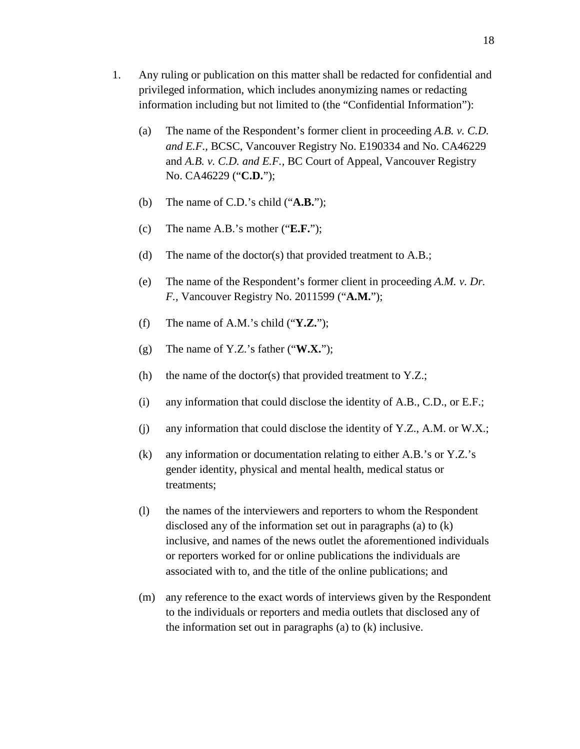- 1. Any ruling or publication on this matter shall be redacted for confidential and privileged information, which includes anonymizing names or redacting information including but not limited to (the "Confidential Information"):
	- (a) The name of the Respondent's former client in proceeding *A.B. v. C.D. and E.F.,* BCSC, Vancouver Registry No. E190334 and No. CA46229 and *A.B. v. C.D. and E.F.,* BC Court of Appeal, Vancouver Registry No. CA46229 ("**C.D.**");
	- (b) The name of C.D.'s child ("**A.B.**");
	- (c) The name A.B.'s mother ("**E.F.**");
	- (d) The name of the doctor(s) that provided treatment to A.B.;
	- (e) The name of the Respondent's former client in proceeding *A.M. v. Dr. F.,* Vancouver Registry No. 2011599 ("**A.M.**");
	- (f) The name of A.M.'s child ("**Y.Z.**");
	- (g) The name of Y.Z.'s father ("**W.X.**");
	- (h) the name of the doctor(s) that provided treatment to  $Y.Z$ .;
	- (i) any information that could disclose the identity of A.B., C.D., or E.F.;
	- (j) any information that could disclose the identity of Y.Z., A.M. or W.X.;
	- (k) any information or documentation relating to either A.B.'s or Y.Z.'s gender identity, physical and mental health, medical status or treatments;
	- (l) the names of the interviewers and reporters to whom the Respondent disclosed any of the information set out in paragraphs (a) to (k) inclusive, and names of the news outlet the aforementioned individuals or reporters worked for or online publications the individuals are associated with to, and the title of the online publications; and
	- (m) any reference to the exact words of interviews given by the Respondent to the individuals or reporters and media outlets that disclosed any of the information set out in paragraphs (a) to (k) inclusive.